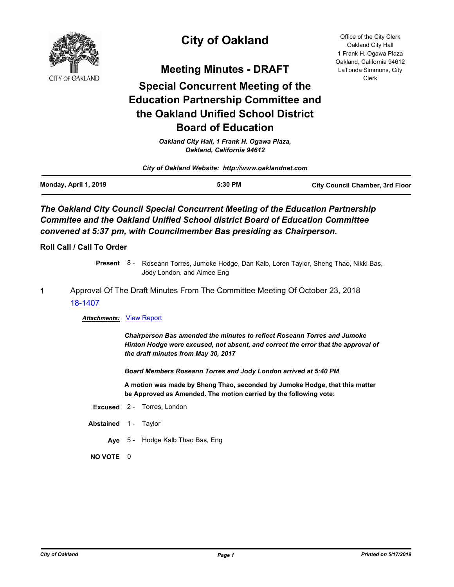

# **City of Oakland**

**Meeting Minutes - DRAFT**

# **Special Concurrent Meeting of the Education Partnership Committee and the Oakland Unified School District Board of Education**

*Oakland City Hall, 1 Frank H. Ogawa Plaza, Oakland, California 94612*

| City of Oakland Website: http://www.oaklandnet.com |         |                                        |
|----------------------------------------------------|---------|----------------------------------------|
| Monday, April 1, 2019                              | 5:30 PM | <b>City Council Chamber, 3rd Floor</b> |

### **The Oakland City Council Special Concurrent Meeting of the Education Partnership** *Commitee and the Oakland Unified School district Board of Education Committee convened at 5:37 pm, with Councilmember Bas presiding as Chairperson.*

**Roll Call / Call To Order**

Present 8 - Roseann Torres, Jumoke Hodge, Dan Kalb, Loren Taylor, Sheng Thao, Nikki Bas, Jody London, and Aimee Eng

### **1** Approval Of The Draft Minutes From The Committee Meeting Of October 23, 2018 [18-1407](http://oakland.legistar.com/gateway.aspx?m=l&id=/matter.aspx?key=29833)

#### *Attachments:* [View Report](http://oakland.legistar.com/gateway.aspx?M=F&ID=a0de45c0-4ce8-4377-bdbb-1160a5a77aae.pdf)

*Chairperson Bas amended the minutes to reflect Roseann Torres and Jumoke Hinton Hodge were excused, not absent, and correct the error that the approval of the draft minutes from May 30, 2017*

*Board Members Roseann Torres and Jody London arrived at 5:40 PM*

**A motion was made by Sheng Thao, seconded by Jumoke Hodge, that this matter be Approved as Amended. The motion carried by the following vote:**

- **Excused** 2 Torres, London
- Abstained 1 Taylor
	- **Aye** 5 Hodge Kalb Thao Bas, Eng

**NO VOTE** 0

Office of the City Clerk Oakland City Hall 1 Frank H. Ogawa Plaza Oakland, California 94612 LaTonda Simmons, City Clerk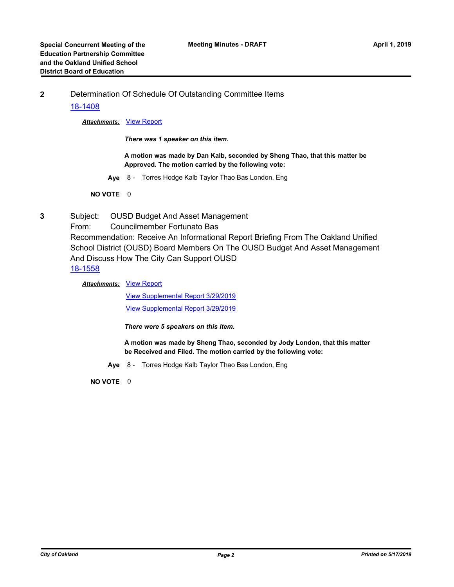**2** Determination Of Schedule Of Outstanding Committee Items

#### [18-1408](http://oakland.legistar.com/gateway.aspx?m=l&id=/matter.aspx?key=29834)

#### *Attachments:* [View Report](http://oakland.legistar.com/gateway.aspx?M=F&ID=aa247ae4-d6a8-45ff-8fd8-763ef1ca08e9.pdf)

*There was 1 speaker on this item.*

**A motion was made by Dan Kalb, seconded by Sheng Thao, that this matter be Approved. The motion carried by the following vote:**

**Aye** 8 - Torres Hodge Kalb Taylor Thao Bas London, Eng

**NO VOTE** 0

- **3** Subject: OUSD Budget And Asset Management
	- From: Councilmember Fortunato Bas

Recommendation: Receive An Informational Report Briefing From The Oakland Unified School District (OUSD) Board Members On The OUSD Budget And Asset Management And Discuss How The City Can Support OUSD [18-1558](http://oakland.legistar.com/gateway.aspx?m=l&id=/matter.aspx?key=29982)

**Attachments: [View Report](http://oakland.legistar.com/gateway.aspx?M=F&ID=c2145082-82be-4040-8c0d-66de993a492d.pdf)** 

[View Supplemental Report 3/29/2019](http://oakland.legistar.com/gateway.aspx?M=F&ID=a5605c51-bbc9-4c71-98c9-268080af7825.pdf) [View Supplemental Report 3/29/2019](http://oakland.legistar.com/gateway.aspx?M=F&ID=72345743-b016-4621-9d64-3de269c088b8.pdf)

*There were 5 speakers on this item.*

**A motion was made by Sheng Thao, seconded by Jody London, that this matter be Received and Filed. The motion carried by the following vote:**

**Aye** 8 - Torres Hodge Kalb Taylor Thao Bas London, Eng

**NO VOTE** 0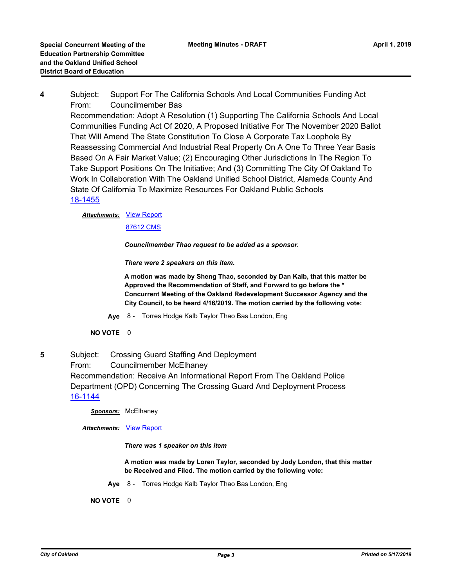**4** Subject: Support For The California Schools And Local Communities Funding Act From: Councilmember Bas

Recommendation: Adopt A Resolution (1) Supporting The California Schools And Local Communities Funding Act Of 2020, A Proposed Initiative For The November 2020 Ballot That Will Amend The State Constitution To Close A Corporate Tax Loophole By Reassessing Commercial And Industrial Real Property On A One To Three Year Basis Based On A Fair Market Value; (2) Encouraging Other Jurisdictions In The Region To Take Support Positions On The Initiative; And (3) Committing The City Of Oakland To Work In Collaboration With The Oakland Unified School District, Alameda County And State Of California To Maximize Resources For Oakland Public Schools [18-1455](http://oakland.legistar.com/gateway.aspx?m=l&id=/matter.aspx?key=29879)

## **Attachments: [View Report](http://oakland.legistar.com/gateway.aspx?M=F&ID=00c5673a-ccb9-4d7d-9986-fd1bb180ea18.pdf)**

[87612 CMS](http://oakland.legistar.com/gateway.aspx?M=F&ID=d64428ec-53e0-439d-a0f1-e8d8c79656b4.pdf)

*Councilmember Thao request to be added as a sponsor.*

*There were 2 speakers on this item.*

**A motion was made by Sheng Thao, seconded by Dan Kalb, that this matter be Approved the Recommendation of Staff, and Forward to go before the \* Concurrent Meeting of the Oakland Redevelopment Successor Agency and the City Council, to be heard 4/16/2019. The motion carried by the following vote:**

**Aye** 8 - Torres Hodge Kalb Taylor Thao Bas London, Eng

#### **NO VOTE** 0

**5** Subject: Crossing Guard Staffing And Deployment

From: Councilmember McElhaney

Recommendation: Receive An Informational Report From The Oakland Police Department (OPD) Concerning The Crossing Guard And Deployment Process [16-1144](http://oakland.legistar.com/gateway.aspx?m=l&id=/matter.aspx?key=27691)

*Sponsors:* McElhaney

*Attachments:* [View Report](http://oakland.legistar.com/gateway.aspx?M=F&ID=3602d6fd-8f8c-4261-992f-576df604d0df.pdf)

*There was 1 speaker on this item*

**A motion was made by Loren Taylor, seconded by Jody London, that this matter be Received and Filed. The motion carried by the following vote:**

**Aye** 8 - Torres Hodge Kalb Taylor Thao Bas London, Eng

**NO VOTE** 0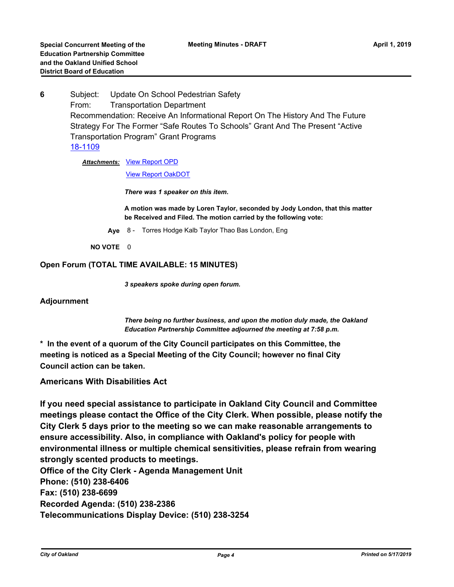**6** Subject: Update On School Pedestrian Safety From: Transportation Department Recommendation: Receive An Informational Report On The History And The Future Strategy For The Former "Safe Routes To Schools" Grant And The Present "Active Transportation Program" Grant Programs [18-1109](http://oakland.legistar.com/gateway.aspx?m=l&id=/matter.aspx?key=29537)

Attachments: [View Report OPD](http://oakland.legistar.com/gateway.aspx?M=F&ID=ff7998e0-8412-4e6a-9d8a-3371ea276da8.pdf)

[View Report OakDOT](http://oakland.legistar.com/gateway.aspx?M=F&ID=0eef44ab-a4e7-4728-a909-160531dd80c9.pdf)

*There was 1 speaker on this item.*

**A motion was made by Loren Taylor, seconded by Jody London, that this matter be Received and Filed. The motion carried by the following vote:**

**Aye** 8 - Torres Hodge Kalb Taylor Thao Bas London, Eng

**NO VOTE** 0

#### **Open Forum (TOTAL TIME AVAILABLE: 15 MINUTES)**

*3 speakers spoke during open forum.*

**Adjournment**

*There being no further business, and upon the motion duly made, the Oakland Education Partnership Committee adjourned the meeting at 7:58 p.m.*

**\* In the event of a quorum of the City Council participates on this Committee, the meeting is noticed as a Special Meeting of the City Council; however no final City Council action can be taken.**

#### **Americans With Disabilities Act**

**If you need special assistance to participate in Oakland City Council and Committee meetings please contact the Office of the City Clerk. When possible, please notify the City Clerk 5 days prior to the meeting so we can make reasonable arrangements to ensure accessibility. Also, in compliance with Oakland's policy for people with environmental illness or multiple chemical sensitivities, please refrain from wearing strongly scented products to meetings. Office of the City Clerk - Agenda Management Unit Phone: (510) 238-6406 Fax: (510) 238-6699 Recorded Agenda: (510) 238-2386**

**Telecommunications Display Device: (510) 238-3254**